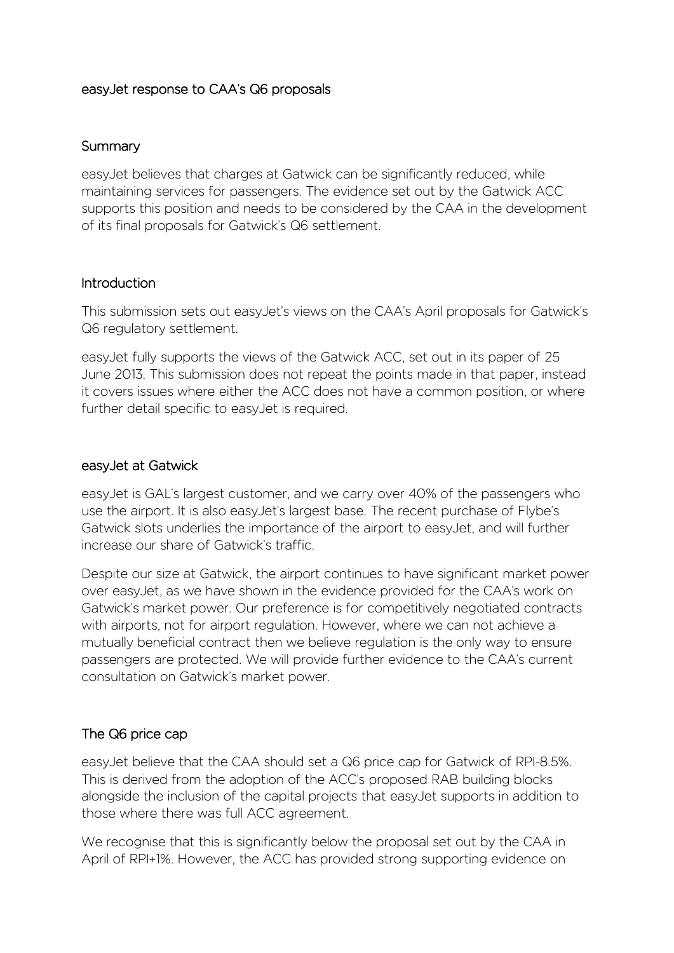## easyJet response to CAA's Q6 proposals

#### Summary

easyJet believes that charges at Gatwick can be significantly reduced, while maintaining services for passengers. The evidence set out by the Gatwick ACC supports this position and needs to be considered by the CAA in the development of its final proposals for Gatwick's Q6 settlement.

## Introduction

This submission sets out easyJet's views on the CAA's April proposals for Gatwick's Q6 regulatory settlement.

easyJet fully supports the views of the Gatwick ACC, set out in its paper of 25 June 2013. This submission does not repeat the points made in that paper, instead it covers issues where either the ACC does not have a common position, or where further detail specific to easyJet is required.

#### easyJet at Gatwick

easyJet is GAL's largest customer, and we carry over 40% of the passengers who use the airport. It is also easyJet's largest base. The recent purchase of Flybe's Gatwick slots underlies the importance of the airport to easyJet, and will further increase our share of Gatwick's traffic.

Despite our size at Gatwick, the airport continues to have significant market power over easyJet, as we have shown in the evidence provided for the CAA's work on Gatwick's market power. Our preference is for competitively negotiated contracts with airports, not for airport regulation. However, where we can not achieve a mutually beneficial contract then we believe regulation is the only way to ensure passengers are protected. We will provide further evidence to the CAA's current consultation on Gatwick's market power.

## The Q6 price cap

easyJet believe that the CAA should set a Q6 price cap for Gatwick of RPI-8.5%. This is derived from the adoption of the ACC's proposed RAB building blocks alongside the inclusion of the capital projects that easyJet supports in addition to those where there was full ACC agreement.

We recognise that this is significantly below the proposal set out by the CAA in April of RPI+1%. However, the ACC has provided strong supporting evidence on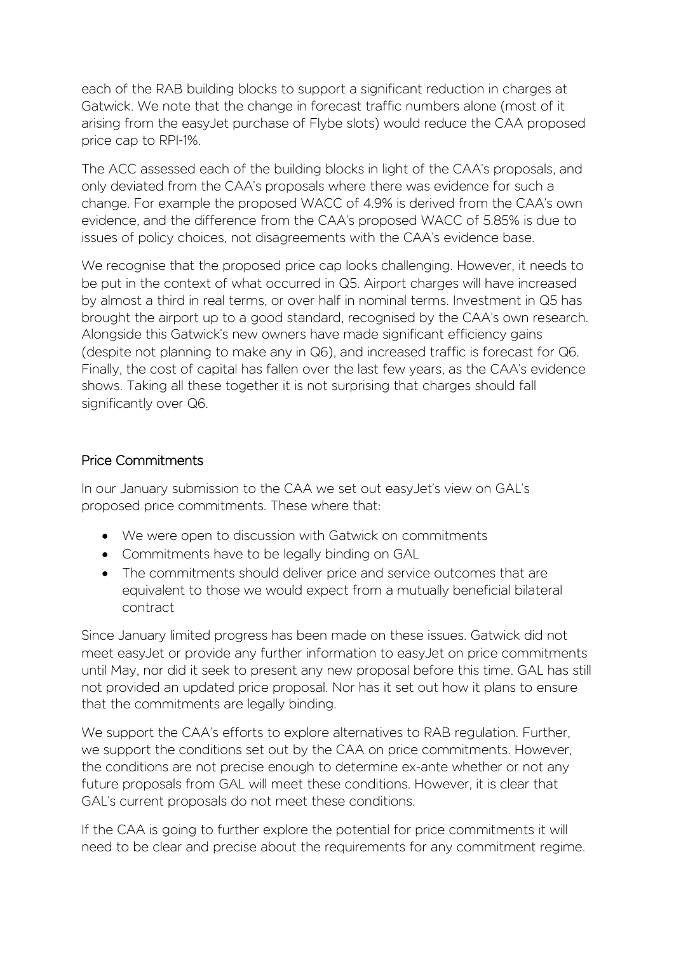each of the RAB building blocks to support a significant reduction in charges at Gatwick. We note that the change in forecast traffic numbers alone (most of it arising from the easyJet purchase of Flybe slots) would reduce the CAA proposed price cap to RPI-1%.

The ACC assessed each of the building blocks in light of the CAA's proposals, and only deviated from the CAA's proposals where there was evidence for such a change. For example the proposed WACC of 4.9% is derived from the CAA's own evidence, and the difference from the CAA's proposed WACC of 5.85% is due to issues of policy choices, not disagreements with the CAA's evidence base.

We recognise that the proposed price cap looks challenging. However, it needs to be put in the context of what occurred in Q5. Airport charges will have increased by almost a third in real terms, or over half in nominal terms. Investment in Q5 has brought the airport up to a good standard, recognised by the CAA's own research. Alongside this Gatwick's new owners have made significant efficiency gains (despite not planning to make any in Q6), and increased traffic is forecast for Q6. Finally, the cost of capital has fallen over the last few years, as the CAA's evidence shows. Taking all these together it is not surprising that charges should fall significantly over Q6.

# Price Commitments

In our January submission to the CAA we set out easyJet's view on GAL's proposed price commitments. These where that:

- We were open to discussion with Gatwick on commitments
- Commitments have to be legally binding on GAL
- The commitments should deliver price and service outcomes that are equivalent to those we would expect from a mutually beneficial bilateral contract

Since January limited progress has been made on these issues. Gatwick did not meet easyJet or provide any further information to easyJet on price commitments until May, nor did it seek to present any new proposal before this time. GAL has still not provided an updated price proposal. Nor has it set out how it plans to ensure that the commitments are legally binding.

We support the CAA's efforts to explore alternatives to RAB regulation. Further, we support the conditions set out by the CAA on price commitments. However, the conditions are not precise enough to determine ex-ante whether or not any future proposals from GAL will meet these conditions. However, it is clear that GAL's current proposals do not meet these conditions.

If the CAA is going to further explore the potential for price commitments it will need to be clear and precise about the requirements for any commitment regime.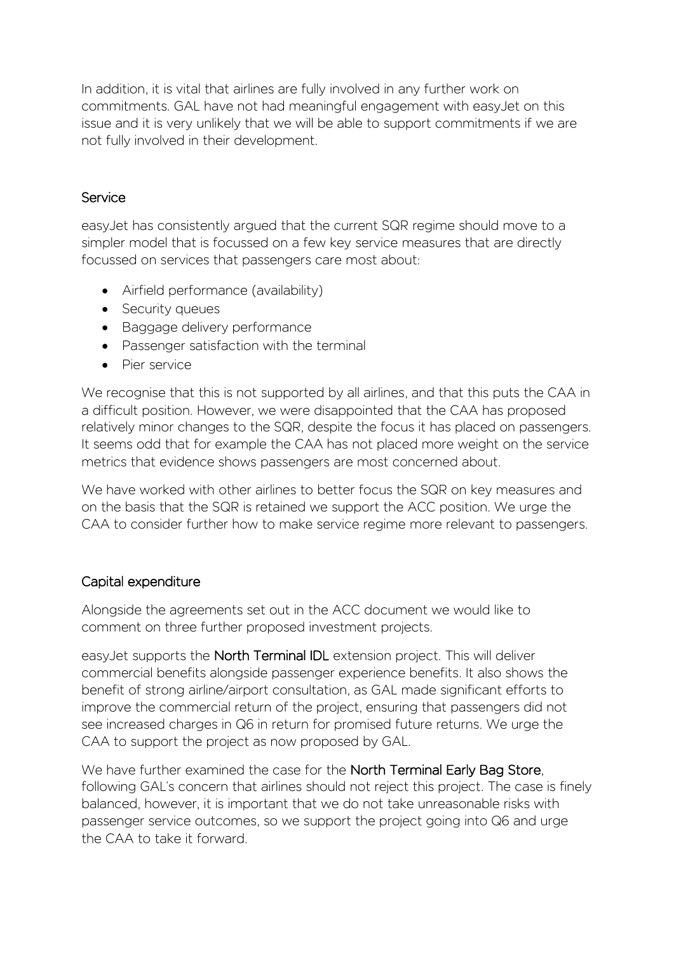In addition, it is vital that airlines are fully involved in any further work on commitments. GAL have not had meaningful engagement with easyJet on this issue and it is very unlikely that we will be able to support commitments if we are not fully involved in their development.

# Service

easyJet has consistently argued that the current SQR regime should move to a simpler model that is focussed on a few key service measures that are directly focussed on services that passengers care most about:

- Airfield performance (availability)
- Security queues
- Baggage delivery performance
- Passenger satisfaction with the terminal
- Pier service

We recognise that this is not supported by all airlines, and that this puts the CAA in a difficult position. However, we were disappointed that the CAA has proposed relatively minor changes to the SQR, despite the focus it has placed on passengers. It seems odd that for example the CAA has not placed more weight on the service metrics that evidence shows passengers are most concerned about.

We have worked with other airlines to better focus the SQR on key measures and on the basis that the SQR is retained we support the ACC position. We urge the CAA to consider further how to make service regime more relevant to passengers.

## Capital expenditure

Alongside the agreements set out in the ACC document we would like to comment on three further proposed investment projects.

easyJet supports the North Terminal IDL extension project. This will deliver commercial benefits alongside passenger experience benefits. It also shows the benefit of strong airline/airport consultation, as GAL made significant efforts to improve the commercial return of the project, ensuring that passengers did not see increased charges in Q6 in return for promised future returns. We urge the CAA to support the project as now proposed by GAL.

We have further examined the case for the **North Terminal Early Bag Store**, following GAL's concern that airlines should not reject this project. The case is finely balanced, however, it is important that we do not take unreasonable risks with passenger service outcomes, so we support the project going into Q6 and urge the CAA to take it forward.